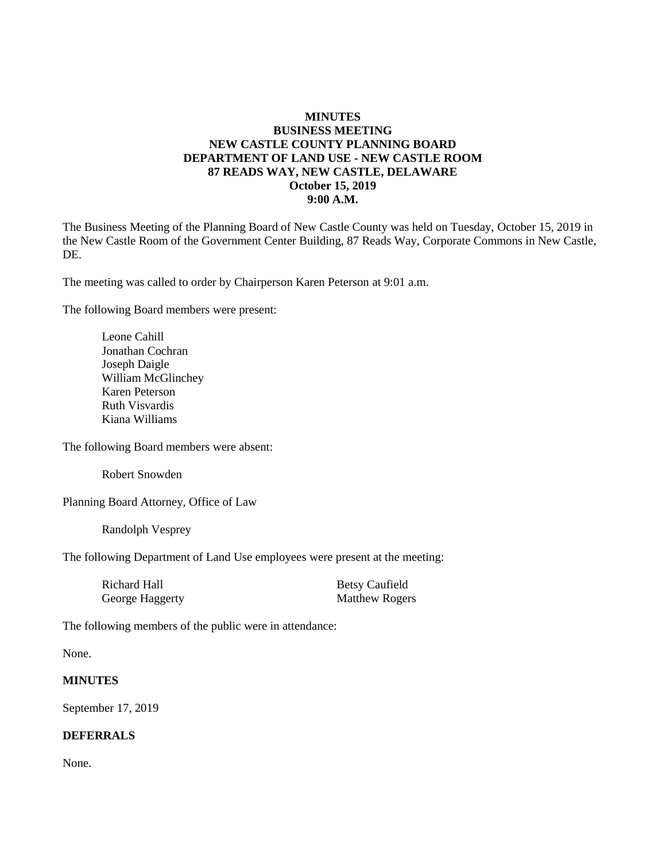#### **MINUTES BUSINESS MEETING NEW CASTLE COUNTY PLANNING BOARD DEPARTMENT OF LAND USE - NEW CASTLE ROOM 87 READS WAY, NEW CASTLE, DELAWARE October 15, 2019 9:00 A.M.**

The Business Meeting of the Planning Board of New Castle County was held on Tuesday, October 15, 2019 in the New Castle Room of the Government Center Building, 87 Reads Way, Corporate Commons in New Castle, DE.

The meeting was called to order by Chairperson Karen Peterson at 9:01 a.m.

The following Board members were present:

Leone Cahill Jonathan Cochran Joseph Daigle William McGlinchey Karen Peterson Ruth Visvardis Kiana Williams

The following Board members were absent:

Robert Snowden

Planning Board Attorney, Office of Law

Randolph Vesprey

The following Department of Land Use employees were present at the meeting:

| Richard Hall    | <b>Betsy Caufield</b> |
|-----------------|-----------------------|
| George Haggerty | <b>Matthew Rogers</b> |

The following members of the public were in attendance:

None.

#### **MINUTES**

September 17, 2019

#### **DEFERRALS**

None.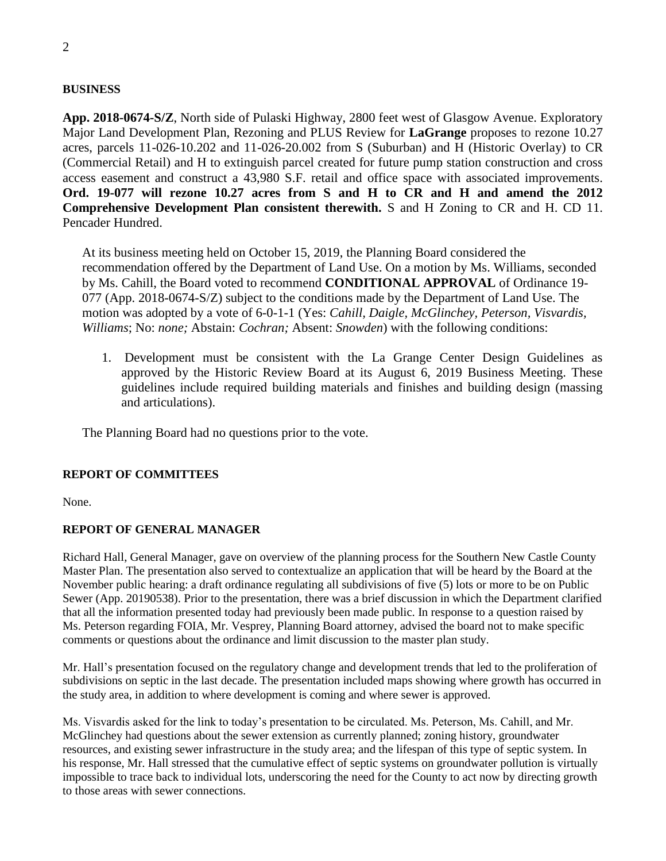#### **BUSINESS**

**App. 2018-0674-S/Z**, North side of Pulaski Highway, 2800 feet west of Glasgow Avenue. Exploratory Major Land Development Plan, Rezoning and PLUS Review for **LaGrange** proposes to rezone 10.27 acres, parcels 11-026-10.202 and 11-026-20.002 from S (Suburban) and H (Historic Overlay) to CR (Commercial Retail) and H to extinguish parcel created for future pump station construction and cross access easement and construct a 43,980 S.F. retail and office space with associated improvements. **Ord. 19-077 will rezone 10.27 acres from S and H to CR and H and amend the 2012 Comprehensive Development Plan consistent therewith.** S and H Zoning to CR and H. CD 11. Pencader Hundred.

At its business meeting held on October 15, 2019, the Planning Board considered the recommendation offered by the Department of Land Use. On a motion by Ms. Williams, seconded by Ms. Cahill, the Board voted to recommend **CONDITIONAL APPROVAL** of Ordinance 19- 077 (App. 2018-0674-S/Z) subject to the conditions made by the Department of Land Use. The motion was adopted by a vote of 6-0-1-1 (Yes: *Cahill, Daigle, McGlinchey, Peterson, Visvardis, Williams*; No: *none;* Abstain: *Cochran;* Absent: *Snowden*) with the following conditions:

1. Development must be consistent with the La Grange Center Design Guidelines as approved by the Historic Review Board at its August 6, 2019 Business Meeting. These guidelines include required building materials and finishes and building design (massing and articulations).

The Planning Board had no questions prior to the vote.

#### **REPORT OF COMMITTEES**

None.

## **REPORT OF GENERAL MANAGER**

Richard Hall, General Manager, gave on overview of the planning process for the Southern New Castle County Master Plan. The presentation also served to contextualize an application that will be heard by the Board at the November public hearing: a draft ordinance regulating all subdivisions of five (5) lots or more to be on Public Sewer (App. 20190538). Prior to the presentation, there was a brief discussion in which the Department clarified that all the information presented today had previously been made public. In response to a question raised by Ms. Peterson regarding FOIA, Mr. Vesprey, Planning Board attorney, advised the board not to make specific comments or questions about the ordinance and limit discussion to the master plan study.

Mr. Hall's presentation focused on the regulatory change and development trends that led to the proliferation of subdivisions on septic in the last decade. The presentation included maps showing where growth has occurred in the study area, in addition to where development is coming and where sewer is approved.

Ms. Visvardis asked for the link to today's presentation to be circulated. Ms. Peterson, Ms. Cahill, and Mr. McGlinchey had questions about the sewer extension as currently planned; zoning history, groundwater resources, and existing sewer infrastructure in the study area; and the lifespan of this type of septic system. In his response, Mr. Hall stressed that the cumulative effect of septic systems on groundwater pollution is virtually impossible to trace back to individual lots, underscoring the need for the County to act now by directing growth to those areas with sewer connections.